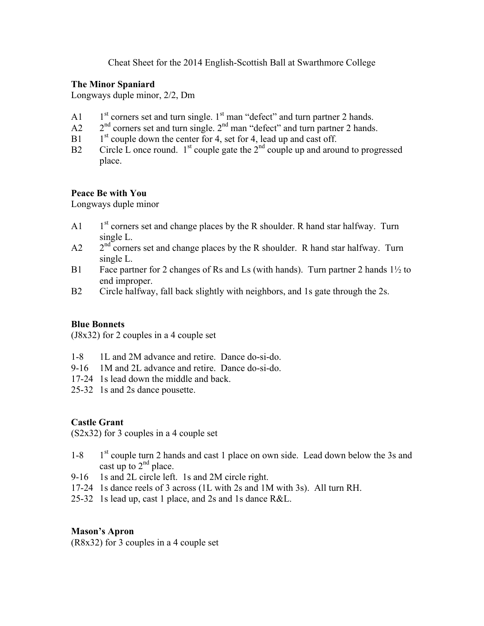Cheat Sheet for the 2014 English-Scottish Ball at Swarthmore College

## **The Minor Spaniard**

Longways duple minor, 2/2, Dm

- A1  $1<sup>st</sup>$  corners set and turn single. 1<sup>st</sup> man "defect" and turn partner 2 hands.
- $A2$   $2<sup>nd</sup>$  corners set and turn single.  $2<sup>nd</sup>$  man "defect" and turn partner 2 hands.
- B1  $1<sup>st</sup>$  couple down the center for 4, set for 4, lead up and cast off.
- B2 Circle L once round.  $1<sup>st</sup>$  couple gate the  $2<sup>nd</sup>$  couple up and around to progressed place.

## **Peace Be with You**

Longways duple minor

- A1  $1<sup>st</sup>$  corners set and change places by the R shoulder. R hand star halfway. Turn single L.
- $A2 \qquad 2^{nd}$  corners set and change places by the R shoulder. R hand star halfway. Turn single L.
- B1 Face partner for 2 changes of Rs and Ls (with hands). Turn partner 2 hands 1½ to end improper.
- B2 Circle halfway, fall back slightly with neighbors, and 1s gate through the 2s.

## **Blue Bonnets**

(J8x32) for 2 couples in a 4 couple set

- 1-8 1L and 2M advance and retire. Dance do-si-do.
- 9-16 1M and 2L advance and retire. Dance do-si-do.
- 17-24 1s lead down the middle and back.
- 25-32 1s and 2s dance pousette.

# **Castle Grant**

(S2x32) for 3 couples in a 4 couple set

- $1-8$  1st couple turn 2 hands and cast 1 place on own side. Lead down below the 3s and cast up to  $2<sup>nd</sup>$  place.
- 9-16 1s and 2L circle left. 1s and 2M circle right.
- 17-24 1s dance reels of 3 across (1L with 2s and 1M with 3s). All turn RH.
- 25-32 1s lead up, cast 1 place, and 2s and 1s dance R&L.

# **Mason's Apron**

(R8x32) for 3 couples in a 4 couple set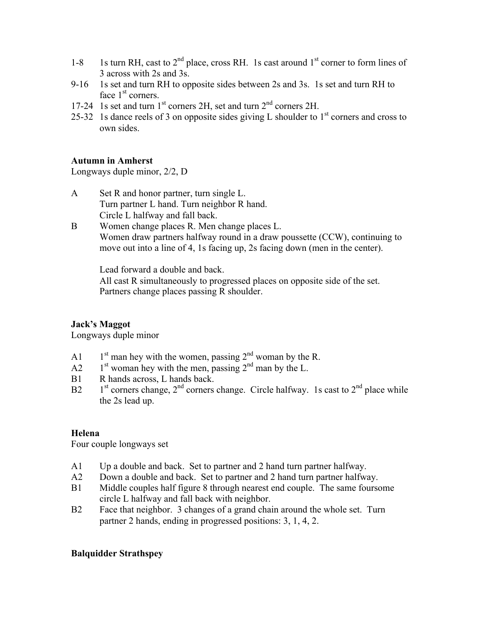- 1-8 1s turn RH, cast to  $2<sup>nd</sup>$  place, cross RH. 1s cast around  $1<sup>st</sup>$  corner to form lines of 3 across with 2s and 3s.
- 9-16 1s set and turn RH to opposite sides between 2s and 3s. 1s set and turn RH to face  $1<sup>st</sup>$  corners.
- 17-24 1s set and turn 1<sup>st</sup> corners 2H, set and turn 2<sup>nd</sup> corners 2H.
- 25-32 1s dance reels of 3 on opposite sides giving L shoulder to  $1<sup>st</sup>$  corners and cross to own sides.

## **Autumn in Amherst**

Longways duple minor, 2/2, D

- A Set R and honor partner, turn single L. Turn partner L hand. Turn neighbor R hand. Circle L halfway and fall back.
- B Women change places R. Men change places L. Women draw partners halfway round in a draw poussette (CCW), continuing to move out into a line of 4, 1s facing up, 2s facing down (men in the center).

Lead forward a double and back.

All cast R simultaneously to progressed places on opposite side of the set. Partners change places passing R shoulder.

# **Jack's Maggot**

Longways duple minor

- A1  $1<sup>st</sup>$  man hey with the women, passing  $2<sup>nd</sup>$  woman by the R.
- A2  $1<sup>st</sup>$  woman hey with the men, passing  $2<sup>nd</sup>$  man by the L.
- B1 R hands across, L hands back.
- B2  $1<sup>st</sup> corners change, 2<sup>nd</sup> corners change. Circle halfway. Is cast to 2<sup>nd</sup> place while$ the 2s lead up.

## **Helena**

Four couple longways set

- A1 Up a double and back. Set to partner and 2 hand turn partner halfway.
- A2 Down a double and back. Set to partner and 2 hand turn partner halfway.
- B1 Middle couples half figure 8 through nearest end couple. The same foursome circle L halfway and fall back with neighbor.
- B2 Face that neighbor. 3 changes of a grand chain around the whole set. Turn partner 2 hands, ending in progressed positions: 3, 1, 4, 2.

## **Balquidder Strathspey**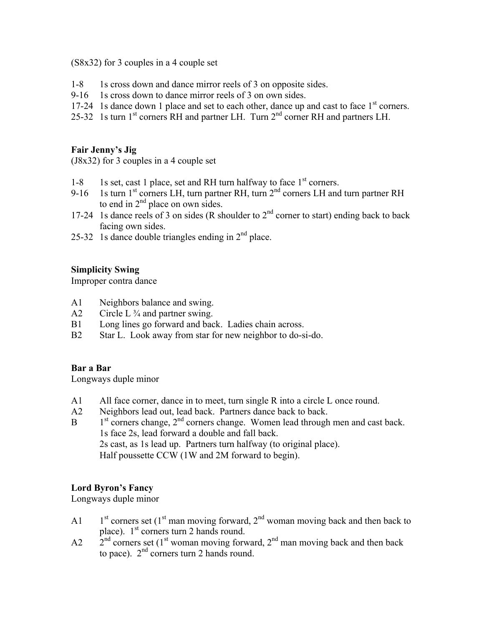(S8x32) for 3 couples in a 4 couple set

- 1-8 1s cross down and dance mirror reels of 3 on opposite sides.
- 9-16 1s cross down to dance mirror reels of 3 on own sides.
- 17-24 1s dance down 1 place and set to each other, dance up and cast to face  $1<sup>st</sup>$  corners.
- 25-32 1s turn 1<sup>st</sup> corners RH and partner LH. Turn 2<sup>nd</sup> corner RH and partners LH.

#### **Fair Jenny's Jig**

(J8x32) for 3 couples in a 4 couple set

- 1-8 1s set, cast 1 place, set and RH turn halfway to face  $1<sup>st</sup>$  corners.
- 9-16 1s turn  $1^{st}$  corners LH, turn partner RH, turn  $2^{nd}$  corners LH and turn partner RH to end in  $2<sup>nd</sup>$  place on own sides.
- 17-24 1s dance reels of 3 on sides (R shoulder to  $2<sup>nd</sup>$  corner to start) ending back to back facing own sides.
- 25-32 1s dance double triangles ending in  $2<sup>nd</sup>$  place.

## **Simplicity Swing**

Improper contra dance

- A1 Neighbors balance and swing.
- A2 Circle L  $\frac{3}{4}$  and partner swing.
- B1 Long lines go forward and back. Ladies chain across.
- B2 Star L. Look away from star for new neighbor to do-si-do.

## **Bar a Bar**

Longways duple minor

- A1 All face corner, dance in to meet, turn single R into a circle L once round.
- A2 Neighbors lead out, lead back. Partners dance back to back.
- $B = 1<sup>st</sup>$  corners change,  $2<sup>nd</sup>$  corners change. Women lead through men and cast back. 1s face 2s, lead forward a double and fall back. 2s cast, as 1s lead up. Partners turn halfway (to original place). Half poussette CCW (1W and 2M forward to begin).

## **Lord Byron's Fancy**

Longways duple minor

- A1  $1<sup>st</sup>$  corners set (1<sup>st</sup> man moving forward, 2<sup>nd</sup> woman moving back and then back to place).  $1<sup>st</sup>$  corners turn 2 hands round.
- $A2$   $2<sup>nd</sup>$  corners set (1<sup>st</sup> woman moving forward, 2<sup>nd</sup> man moving back and then back to pace).  $2<sup>nd</sup>$  corners turn 2 hands round.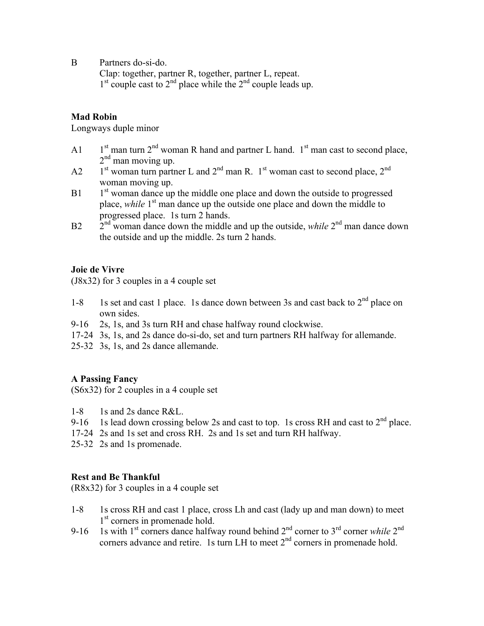B Partners do-si-do.

Clap: together, partner R, together, partner L, repeat.  $1<sup>st</sup>$  couple cast to  $2<sup>nd</sup>$  place while the  $2<sup>nd</sup>$  couple leads up.

#### **Mad Robin**

Longways duple minor

- A1  $1<sup>st</sup>$  man turn  $2<sup>nd</sup>$  woman R hand and partner L hand.  $1<sup>st</sup>$  man cast to second place,  $2<sup>nd</sup>$  man moving up.
- A2  $1<sup>st</sup>$  woman turn partner L and  $2<sup>nd</sup>$  man R. 1<sup>st</sup> woman cast to second place,  $2<sup>nd</sup>$ woman moving up.
- $B1$  1st woman dance up the middle one place and down the outside to progressed place, *while* 1<sup>st</sup> man dance up the outside one place and down the middle to progressed place. 1s turn 2 hands.
- $B2 \frac{1}{2}$ <sup>nd</sup> woman dance down the middle and up the outside, *while*  $2^{nd}$  man dance down the outside and up the middle. 2s turn 2 hands.

#### **Joie de Vivre**

(J8x32) for 3 couples in a 4 couple set

- 1-8 1s set and cast 1 place. 1s dance down between 3s and cast back to  $2<sup>nd</sup>$  place on own sides.
- 9-16 2s, 1s, and 3s turn RH and chase halfway round clockwise.
- 17-24 3s, 1s, and 2s dance do-si-do, set and turn partners RH halfway for allemande.
- 25-32 3s, 1s, and 2s dance allemande.

#### **A Passing Fancy**

(S6x32) for 2 couples in a 4 couple set

- 1-8 1s and 2s dance R&L.
- 9-16 1s lead down crossing below 2s and cast to top. 1s cross RH and cast to  $2<sup>nd</sup>$  place.
- 17-24 2s and 1s set and cross RH. 2s and 1s set and turn RH halfway.
- 25-32 2s and 1s promenade.

## **Rest and Be Thankful**

(R8x32) for 3 couples in a 4 couple set

- 1-8 1s cross RH and cast 1 place, cross Lh and cast (lady up and man down) to meet 1<sup>st</sup> corners in promenade hold.
- 9-16 1s with 1<sup>st</sup> corners dance halfway round behind  $2<sup>nd</sup>$  corner to 3<sup>rd</sup> corner *while*  $2<sup>nd</sup>$ corners advance and retire. 1s turn LH to meet  $2<sup>nd</sup>$  corners in promenade hold.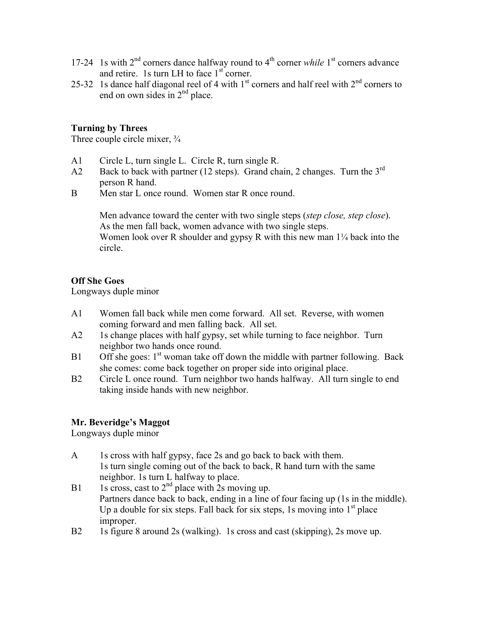- 17-24 1s with 2nd corners dance halfway round to 4th corner *while* 1st corners advance and retire. 1s turn LH to face  $1<sup>st</sup>$  corner.
- 25-32 1s dance half diagonal reel of 4 with  $1<sup>st</sup>$  corners and half reel with  $2<sup>nd</sup>$  corners to end on own sides in  $2<sup>nd</sup>$  place.

## **Turning by Threes**

Three couple circle mixer,  $\frac{3}{4}$ 

- A1 Circle L, turn single L. Circle R, turn single R.
- A2 Back to back with partner (12 steps). Grand chain, 2 changes. Turn the  $3<sup>rd</sup>$ person R hand.
- B Men star L once round. Women star R once round.

Men advance toward the center with two single steps (*step close, step close*). As the men fall back, women advance with two single steps. Women look over R shoulder and gypsy R with this new man  $1/4$  back into the circle.

#### **Off She Goes**

Longways duple minor

- A1 Women fall back while men come forward. All set. Reverse, with women coming forward and men falling back. All set.
- A2 1s change places with half gypsy, set while turning to face neighbor. Turn neighbor two hands once round.
- B1 Off she goes:  $1<sup>st</sup>$  woman take off down the middle with partner following. Back she comes: come back together on proper side into original place.
- B2 Circle L once round. Turn neighbor two hands halfway. All turn single to end taking inside hands with new neighbor.

## **Mr. Beveridge's Maggot**

Longways duple minor

- A 1s cross with half gypsy, face 2s and go back to back with them. 1s turn single coming out of the back to back, R hand turn with the same neighbor. 1s turn L halfway to place.
- B1 1s cross, cast to  $2<sup>nd</sup>$  place with 2s moving up. Partners dance back to back, ending in a line of four facing up (1s in the middle). Up a double for six steps. Fall back for six steps, 1s moving into  $1<sup>st</sup>$  place improper.
- B2 1s figure 8 around 2s (walking). 1s cross and cast (skipping), 2s move up.